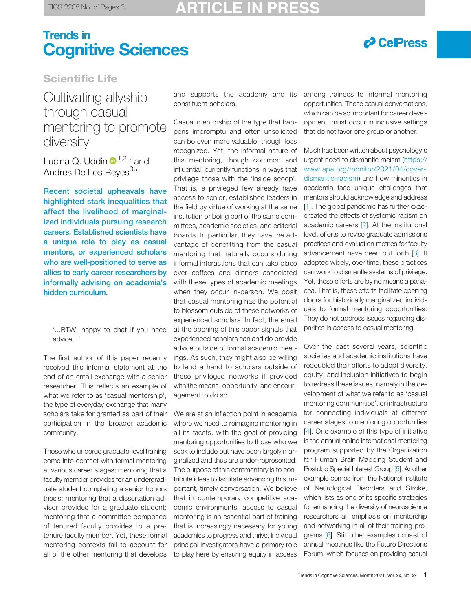# Trends in Cognitive Sciences



### Scientific Life

Cultivating allyship through casual mentoring to promote diversity

Lucina Q. Uddin  $\mathbf{D}^{1,2,*}$  $\mathbf{D}^{1,2,*}$  $\mathbf{D}^{1,2,*}$  $\mathbf{D}^{1,2,*}$  $\mathbf{D}^{1,2,*}$  $\mathbf{D}^{1,2,*}$  $\mathbf{D}^{1,2,*}$  and Andres De Los Reyes<sup>[3,\\*](#page-2-0)</sup>

Recent societal upheavals have highlighted stark inequalities that affect the livelihood of marginalized individuals pursuing research careers. Established scientists have a unique role to play as casual mentors, or experienced scholars who are well-positioned to serve as allies to early career researchers by informally advising on academia's hidden curriculum.

The first author of this paper recently received this informal statement at the end of an email exchange with a senior researcher. This reflects an example of what we refer to as 'casual mentorship', the type of everyday exchange that many scholars take for granted as part of their participation in the broader academic community.

Those who undergo graduate-level training come into contact with formal mentoring at various career stages; mentoring that a faculty member provides for an undergraduate student completing a senior honors thesis; mentoring that a dissertation advisor provides for a graduate student; mentoring that a committee composed of tenured faculty provides to a pretenure faculty member. Yet, these formal mentoring contexts fail to account for all of the other mentoring that develops

and supports the academy and its among trainees to informal mentoring constituent scholars.

Casual mentorship of the type that happens impromptu and often unsolicited can be even more valuable, though less recognized. Yet, the informal nature of this mentoring, though common and influential, currently functions in ways that privilege those with the 'inside scoop'. That is, a privileged few already have access to senior, established leaders in the field by virtue of working at the same institution or being part of the same committees, academic societies, and editorial boards. In particular, they have the advantage of benefitting from the casual mentoring that naturally occurs during informal interactions that can take place over coffees and dinners associated with these types of academic meetings when they occur in-person. We posit that casual mentoring has the potential to blossom outside of these networks of experienced scholars. In fact, the email at the opening of this paper signals that experienced scholars can and do provide advice outside of formal academic meetings. As such, they might also be willing to lend a hand to scholars outside of these privileged networks if provided with the means, opportunity, and encouragement to do so.

We are at an inflection point in academia where we need to reimagine mentoring in all its facets, with the goal of providing mentoring opportunities to those who we seek to include but have been largely marginalized and thus are under-represented. The purpose of this commentary is to contribute ideas to facilitate advancing this important, timely conversation. We believe that in contemporary competitive academic environments, access to casual mentoring is an essential part of training that is increasingly necessary for young academics to progress and thrive. Individual principal investigators have a primary role to play here by ensuring equity in access

opportunities. These casual conversations, which can be so important for career development, must occur in inclusive settings that do not favor one group or another.

Much has been written about psychology's urgent need to dismantle racism ([https://](https://www.apa.org/monitor/2021/04/cover-dismantle-racism) [www.apa.org/monitor/2021/04/cover](https://www.apa.org/monitor/2021/04/cover-dismantle-racism)[dismantle-racism](https://www.apa.org/monitor/2021/04/cover-dismantle-racism)) and how minorities in academia face unique challenges that mentors should acknowledge and address [\[1](#page-2-0)]. The global pandemic has further exacerbated the effects of systemic racism on academic careers [\[2](#page-2-0)]. At the institutional level, efforts to revise graduate admissions practices and evaluation metrics for faculty advancement have been put forth [[3\]](#page-2-0). If adopted widely, over time, these practices can work to dismantle systems of privilege. Yet, these efforts are by no means a panacea. That is, these efforts facilitate opening doors for historically marginalized individuals to formal mentoring opportunities. They do not address issues regarding disparities in access to casual mentoring.

Over the past several years, scientific societies and academic institutions have redoubled their efforts to adopt diversity, equity, and inclusion initiatives to begin to redress these issues, namely in the development of what we refer to as 'casual mentoring communities', or infrastructure for connecting individuals at different career stages to mentoring opportunities [[4\]](#page-2-0). One example of this type of initiative is the annual online international mentoring program supported by the Organization for Human Brain Mapping Student and Postdoc Special Interest Group [\[5\]](#page-2-0). Another example comes from the National Institute of Neurological Disorders and Stroke, which lists as one of its specific strategies for enhancing the diversity of neuroscience researchers an emphasis on mentorship and networking in all of their training programs [[6](#page-2-0)]. Still other examples consist of annual meetings like the Future Directions Forum, which focuses on providing casual

<sup>&#</sup>x27;...BTW, happy to chat if you need advice…'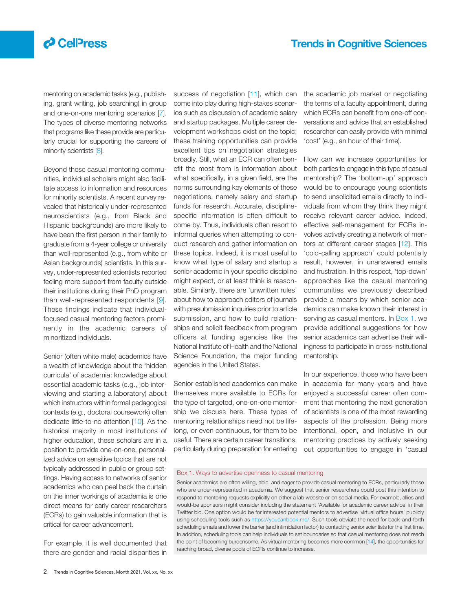## $\boldsymbol{\beta}$  CelPress

mentoring on academic tasks (e.g., publishing, grant writing, job searching) in group and one-on-one mentoring scenarios [\[7](#page-2-0)]. The types of diverse mentoring networks that programs like these provide are particularly crucial for supporting the careers of minority scientists [\[8\]](#page-2-0).

Beyond these casual mentoring communities, individual scholars might also facilitate access to information and resources for minority scientists. A recent survey revealed that historically under-represented neuroscientists (e.g., from Black and Hispanic backgrounds) are more likely to have been the first person in their family to graduate from a 4-year college or university than well-represented (e.g., from white or Asian backgrounds) scientists. In this survey, under-represented scientists reported feeling more support from faculty outside their institutions during their PhD program than well-represented respondents [[9\]](#page-2-0). These findings indicate that individualfocused casual mentoring factors prominently in the academic careers of minoritized individuals.

Senior (often white male) academics have a wealth of knowledge about the 'hidden curricula' of academia: knowledge about essential academic tasks (e.g., job interviewing and starting a laboratory) about which instructors within formal pedagogical contexts (e.g., doctoral coursework) often dedicate little-to-no attention [\[10](#page-2-0)]. As the historical majority in most institutions of higher education, these scholars are in a position to provide one-on-one, personalized advice on sensitive topics that are not typically addressed in public or group settings. Having access to networks of senior academics who can peel back the curtain on the inner workings of academia is one direct means for early career researchers (ECRs) to gain valuable information that is critical for career advancement.

For example, it is well documented that there are gender and racial disparities in

success of negotiation [[11](#page-2-0)], which can come into play during high-stakes scenarios such as discussion of academic salary and startup packages. Multiple career development workshops exist on the topic; these training opportunities can provide excellent tips on negotiation strategies broadly. Still, what an ECR can often benefit the most from is information about what specifically, in a given field, are the norms surrounding key elements of these negotiations, namely salary and startup funds for research. Accurate, disciplinespecific information is often difficult to come by. Thus, individuals often resort to informal queries when attempting to conduct research and gather information on these topics. Indeed, it is most useful to know what type of salary and startup a senior academic in your specific discipline might expect, or at least think is reasonable. Similarly, there are 'unwritten rules' about how to approach editors of journals with presubmission inquiries prior to article submission, and how to build relationships and solicit feedback from program officers at funding agencies like the National Institute of Health and the National Science Foundation, the major funding agencies in the United States.

Senior established academics can make themselves more available to ECRs for the type of targeted, one-on-one mentorship we discuss here. These types of mentoring relationships need not be lifelong, or even continuous, for them to be useful. There are certain career transitions, particularly during preparation for entering the academic job market or negotiating the terms of a faculty appointment, during which ECRs can benefit from one-off conversations and advice that an established researcher can easily provide with minimal 'cost' (e.g., an hour of their time).

How can we increase opportunities for both parties to engage in this type of casual mentorship? The 'bottom-up' approach would be to encourage young scientists to send unsolicited emails directly to individuals from whom they think they might receive relevant career advice. Indeed, effective self-management for ECRs involves actively creating a network of mentors at different career stages [[12](#page-2-0)]. This 'cold-calling approach' could potentially result, however, in unanswered emails and frustration. In this respect, 'top-down' approaches like the casual mentoring communities we previously described provide a means by which senior academics can make known their interest in serving as casual mentors. In Box 1, we provide additional suggestions for how senior academics can advertise their willingness to participate in cross-institutional mentorship.

In our experience, those who have been in academia for many years and have enjoyed a successful career often comment that mentoring the next generation of scientists is one of the most rewarding aspects of the profession. Being more intentional, open, and inclusive in our mentoring practices by actively seeking out opportunities to engage in 'casual

### Box 1. Ways to advertise openness to casual mentoring

Senior academics are often willing, able, and eager to provide casual mentoring to ECRs, particularly those who are under-represented in academia. We suggest that senior researchers could post this intention to respond to mentoring requests explicitly on either a lab website or on social media. For example, allies and would-be sponsors might consider including the statement 'Available for academic career advice' in their Twitter bio. One option would be for interested potential mentors to advertise 'virtual office hours' publicly using scheduling tools such as <https://youcanbook.me/>. Such tools obviate the need for back-and-forth scheduling emails and lower the barrier (and intimidation factor) to contacting senior scientists for the first time. In addition, scheduling tools can help individuals to set boundaries so that casual mentoring does not reach the point of becoming burdensome. As virtual mentoring becomes more common [[14](#page-2-0)], the opportunities for reaching broad, diverse pools of ECRs continue to increase.